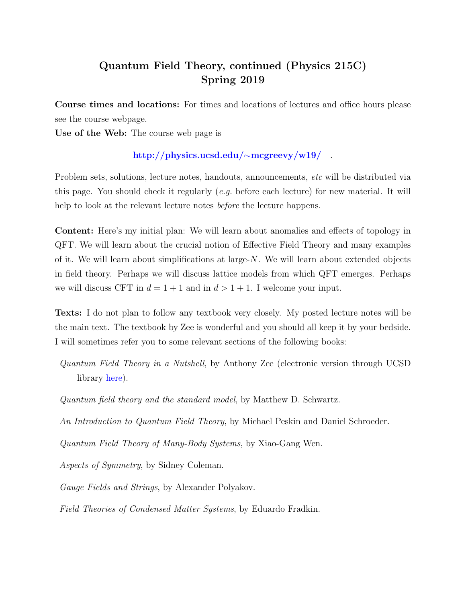# Quantum Field Theory, continued (Physics 215C) Spring 2019

Course times and locations: For times and locations of lectures and office hours please see the course webpage.

Use of the Web: The course web page is

## [http://physics.ucsd.edu/](http://physics.ucsd.edu/~mcgreevy/w19/)∼mcgreevy/w19/ .

Problem sets, solutions, lecture notes, handouts, announcements, *etc* will be distributed via this page. You should check it regularly  $(e,q)$  before each lecture) for new material. It will help to look at the relevant lecture notes *before* the lecture happens.

Content: Here's my initial plan: We will learn about anomalies and effects of topology in QFT. We will learn about the crucial notion of Effective Field Theory and many examples of it. We will learn about simplifications at large-N. We will learn about extended objects in field theory. Perhaps we will discuss lattice models from which QFT emerges. Perhaps we will discuss CFT in  $d = 1 + 1$  and in  $d > 1 + 1$ . I welcome your input.

Texts: I do not plan to follow any textbook very closely. My posted lecture notes will be the main text. The textbook by Zee is wonderful and you should all keep it by your bedside. I will sometimes refer you to some relevant sections of the following books:

Quantum Field Theory in a Nutshell, by Anthony Zee (electronic version through UCSD library [here\)](http://uclibs.org/PID/174231).

Quantum field theory and the standard model, by Matthew D. Schwartz.

An Introduction to Quantum Field Theory, by Michael Peskin and Daniel Schroeder.

Quantum Field Theory of Many-Body Systems, by Xiao-Gang Wen.

Aspects of Symmetry, by Sidney Coleman.

Gauge Fields and Strings, by Alexander Polyakov.

Field Theories of Condensed Matter Systems, by Eduardo Fradkin.